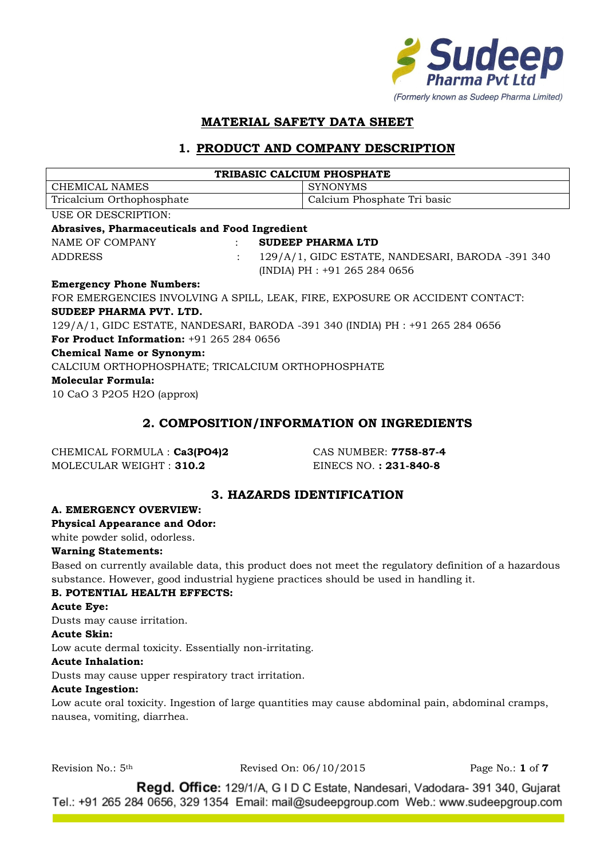

# **MATERIAL SAFETY DATA SHEET**

# **1. PRODUCT AND COMPANY DESCRIPTION**

| TRIBASIC CALCIUM PHOSPHATE                                                     |                      |                                                  |  |  |  |
|--------------------------------------------------------------------------------|----------------------|--------------------------------------------------|--|--|--|
| CHEMICAL NAMES                                                                 |                      | <b>SYNONYMS</b>                                  |  |  |  |
| Tricalcium Orthophosphate                                                      |                      | Calcium Phosphate Tri basic                      |  |  |  |
| USE OR DESCRIPTION:                                                            |                      |                                                  |  |  |  |
| Abrasives, Pharmaceuticals and Food Ingredient                                 |                      |                                                  |  |  |  |
| NAME OF COMPANY                                                                |                      | <b>SUDEEP PHARMA LTD</b>                         |  |  |  |
| <b>ADDRESS</b>                                                                 | $\ddot{\phantom{a}}$ | 129/A/1, GIDC ESTATE, NANDESARI, BARODA -391 340 |  |  |  |
|                                                                                |                      | (INDIA) PH : +91 265 284 0656                    |  |  |  |
| <b>Emergency Phone Numbers:</b>                                                |                      |                                                  |  |  |  |
| FOR EMERGENCIES INVOLVING A SPILL, LEAK, FIRE, EXPOSURE OR ACCIDENT CONTACT:   |                      |                                                  |  |  |  |
| SUDEEP PHARMA PVT. LTD.                                                        |                      |                                                  |  |  |  |
| 129/A/1, GIDC ESTATE, NANDESARI, BARODA -391 340 (INDIA) PH : +91 265 284 0656 |                      |                                                  |  |  |  |
| <b>For Product Information:</b> $+91,265,284,0656$                             |                      |                                                  |  |  |  |
| <b>Chemical Name or Synonym:</b>                                               |                      |                                                  |  |  |  |
| CALCIUM ORTHOPHOSPHATE; TRICALCIUM ORTHOPHOSPHATE                              |                      |                                                  |  |  |  |
| <b>Molecular Formula:</b>                                                      |                      |                                                  |  |  |  |
| 10 CaO 3 P2O5 H2O (approx)                                                     |                      |                                                  |  |  |  |
|                                                                                |                      |                                                  |  |  |  |

### **2. COMPOSITION/INFORMATION ON INGREDIENTS**

| CHEMICAL FORMULA : Ca3(PO4)2 |
|------------------------------|
| MOLECULAR WEIGHT: 310.2      |

CHEMICAL FORMULA : **Ca3(PO4)2** CAS NUMBER: **7758-87-4** MOLECULAR WEIGHT : **310.2** EINECS NO. **: 231-840-8**

### **3. HAZARDS IDENTIFICATION**

#### **A. EMERGENCY OVERVIEW:**

#### **Physical Appearance and Odor:**

white powder solid, odorless.

#### **Warning Statements:**

Based on currently available data, this product does not meet the regulatory definition of a hazardous substance. However, good industrial hygiene practices should be used in handling it.

#### **B. POTENTIAL HEALTH EFFECTS:**

#### **Acute Eye:**

Dusts may cause irritation.

#### **Acute Skin:**

Low acute dermal toxicity. Essentially non-irritating.

#### **Acute Inhalation:**

Dusts may cause upper respiratory tract irritation.

#### **Acute Ingestion:**

Low acute oral toxicity. Ingestion of large quantities may cause abdominal pain, abdominal cramps, nausea, vomiting, diarrhea.

Revision No.: 5th Revised On: 06/10/2015 Page No.: **1** of **7**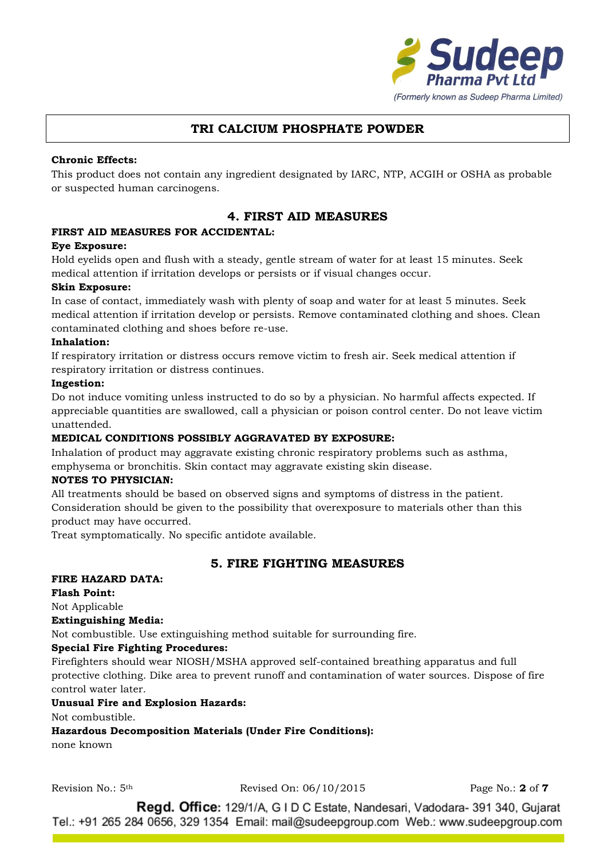

### **Chronic Effects:**

This product does not contain any ingredient designated by IARC, NTP, ACGIH or OSHA as probable or suspected human carcinogens.

## **4. FIRST AID MEASURES**

### **FIRST AID MEASURES FOR ACCIDENTAL:**

#### **Eye Exposure:**

Hold eyelids open and flush with a steady, gentle stream of water for at least 15 minutes. Seek medical attention if irritation develops or persists or if visual changes occur.

#### **Skin Exposure:**

In case of contact, immediately wash with plenty of soap and water for at least 5 minutes. Seek medical attention if irritation develop or persists. Remove contaminated clothing and shoes. Clean contaminated clothing and shoes before re-use.

#### **Inhalation:**

If respiratory irritation or distress occurs remove victim to fresh air. Seek medical attention if respiratory irritation or distress continues.

#### **Ingestion:**

Do not induce vomiting unless instructed to do so by a physician. No harmful affects expected. If appreciable quantities are swallowed, call a physician or poison control center. Do not leave victim unattended.

#### **MEDICAL CONDITIONS POSSIBLY AGGRAVATED BY EXPOSURE:**

Inhalation of product may aggravate existing chronic respiratory problems such as asthma, emphysema or bronchitis. Skin contact may aggravate existing skin disease.

#### **NOTES TO PHYSICIAN:**

All treatments should be based on observed signs and symptoms of distress in the patient. Consideration should be given to the possibility that overexposure to materials other than this product may have occurred.

Treat symptomatically. No specific antidote available.

### **5. FIRE FIGHTING MEASURES**

### **FIRE HAZARD DATA:**

**Flash Point:** Not Applicable

# **Extinguishing Media:**

Not combustible. Use extinguishing method suitable for surrounding fire.

#### **Special Fire Fighting Procedures:**

Firefighters should wear NIOSH/MSHA approved self-contained breathing apparatus and full protective clothing. Dike area to prevent runoff and contamination of water sources. Dispose of fire control water later.

#### **Unusual Fire and Explosion Hazards:**

Not combustible.

**Hazardous Decomposition Materials (Under Fire Conditions):**

none known

Revision No.: 5th Revised On: 06/10/2015 Page No.: **2** of **7**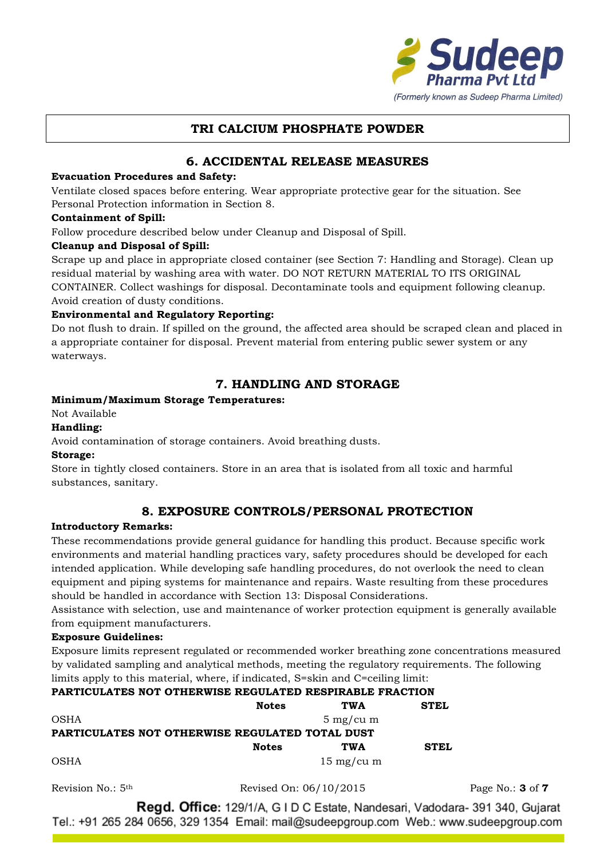

# **6. ACCIDENTAL RELEASE MEASURES**

### **Evacuation Procedures and Safety:**

Ventilate closed spaces before entering. Wear appropriate protective gear for the situation. See Personal Protection information in Section 8.

#### **Containment of Spill:**

Follow procedure described below under Cleanup and Disposal of Spill.

#### **Cleanup and Disposal of Spill:**

Scrape up and place in appropriate closed container (see Section 7: Handling and Storage). Clean up residual material by washing area with water. DO NOT RETURN MATERIAL TO ITS ORIGINAL CONTAINER. Collect washings for disposal. Decontaminate tools and equipment following cleanup. Avoid creation of dusty conditions.

### **Environmental and Regulatory Reporting:**

Do not flush to drain. If spilled on the ground, the affected area should be scraped clean and placed in a appropriate container for disposal. Prevent material from entering public sewer system or any waterways.

# **7. HANDLING AND STORAGE**

### **Minimum/Maximum Storage Temperatures:**

Not Available

### **Handling:**

Avoid contamination of storage containers. Avoid breathing dusts.

#### **Storage:**

Store in tightly closed containers. Store in an area that is isolated from all toxic and harmful substances, sanitary.

# **8. EXPOSURE CONTROLS/PERSONAL PROTECTION**

#### **Introductory Remarks:**

These recommendations provide general guidance for handling this product. Because specific work environments and material handling practices vary, safety procedures should be developed for each intended application. While developing safe handling procedures, do not overlook the need to clean equipment and piping systems for maintenance and repairs. Waste resulting from these procedures should be handled in accordance with Section 13: Disposal Considerations.

Assistance with selection, use and maintenance of worker protection equipment is generally available from equipment manufacturers.

#### **Exposure Guidelines:**

Exposure limits represent regulated or recommended worker breathing zone concentrations measured by validated sampling and analytical methods, meeting the regulatory requirements. The following limits apply to this material, where, if indicated, S=skin and C=ceiling limit:

# **PARTICULATES NOT OTHERWISE REGULATED RESPIRABLE FRACTION**

|                                                 | <b>Notes</b> | <b>TWA</b>           | <b>STEL</b> |
|-------------------------------------------------|--------------|----------------------|-------------|
| OSHA                                            |              | $5 \text{ mg/cu m}$  |             |
| PARTICULATES NOT OTHERWISE REGULATED TOTAL DUST |              |                      |             |
|                                                 | <b>Notes</b> | <b>TWA</b>           | <b>STEL</b> |
| OSHA                                            |              | $15 \text{ mg/cu m}$ |             |

Revision No.: 5th Revised On: 06/10/2015 Page No.: **3** of **7**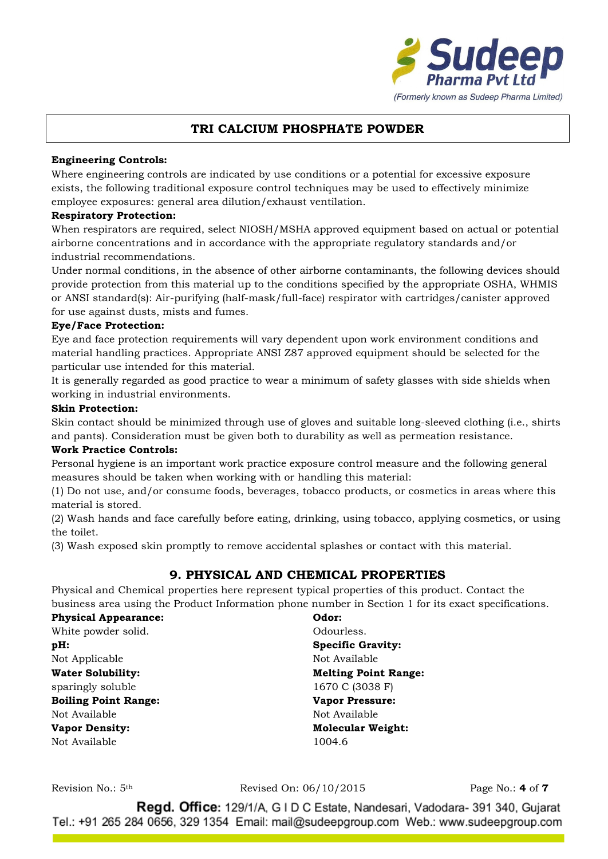

### **Engineering Controls:**

Where engineering controls are indicated by use conditions or a potential for excessive exposure exists, the following traditional exposure control techniques may be used to effectively minimize employee exposures: general area dilution/exhaust ventilation.

### **Respiratory Protection:**

When respirators are required, select NIOSH/MSHA approved equipment based on actual or potential airborne concentrations and in accordance with the appropriate regulatory standards and/or industrial recommendations.

Under normal conditions, in the absence of other airborne contaminants, the following devices should provide protection from this material up to the conditions specified by the appropriate OSHA, WHMIS or ANSI standard(s): Air-purifying (half-mask/full-face) respirator with cartridges/canister approved for use against dusts, mists and fumes.

### **Eye/Face Protection:**

Eye and face protection requirements will vary dependent upon work environment conditions and material handling practices. Appropriate ANSI Z87 approved equipment should be selected for the particular use intended for this material.

It is generally regarded as good practice to wear a minimum of safety glasses with side shields when working in industrial environments.

#### **Skin Protection:**

Skin contact should be minimized through use of gloves and suitable long-sleeved clothing (i.e., shirts and pants). Consideration must be given both to durability as well as permeation resistance.

#### **Work Practice Controls:**

Personal hygiene is an important work practice exposure control measure and the following general measures should be taken when working with or handling this material:

(1) Do not use, and/or consume foods, beverages, tobacco products, or cosmetics in areas where this material is stored.

(2) Wash hands and face carefully before eating, drinking, using tobacco, applying cosmetics, or using the toilet.

(3) Wash exposed skin promptly to remove accidental splashes or contact with this material.

# **9. PHYSICAL AND CHEMICAL PROPERTIES**

Physical and Chemical properties here represent typical properties of this product. Contact the business area using the Product Information phone number in Section 1 for its exact specifications.

| <b>Physical Appearance:</b> | Odor:                       |  |  |
|-----------------------------|-----------------------------|--|--|
| White powder solid.         | Odourless.                  |  |  |
| $pH$ :                      | <b>Specific Gravity:</b>    |  |  |
| Not Applicable              | Not Available               |  |  |
| <b>Water Solubility:</b>    | <b>Melting Point Range:</b> |  |  |
| sparingly soluble           | 1670 C (3038 F)             |  |  |
| <b>Boiling Point Range:</b> | <b>Vapor Pressure:</b>      |  |  |
| Not Available               | Not Available               |  |  |
| <b>Vapor Density:</b>       | <b>Molecular Weight:</b>    |  |  |
| Not Available               | 1004.6                      |  |  |

Revision No.: 5th Revised On: 06/10/2015 Page No.: **4** of **7**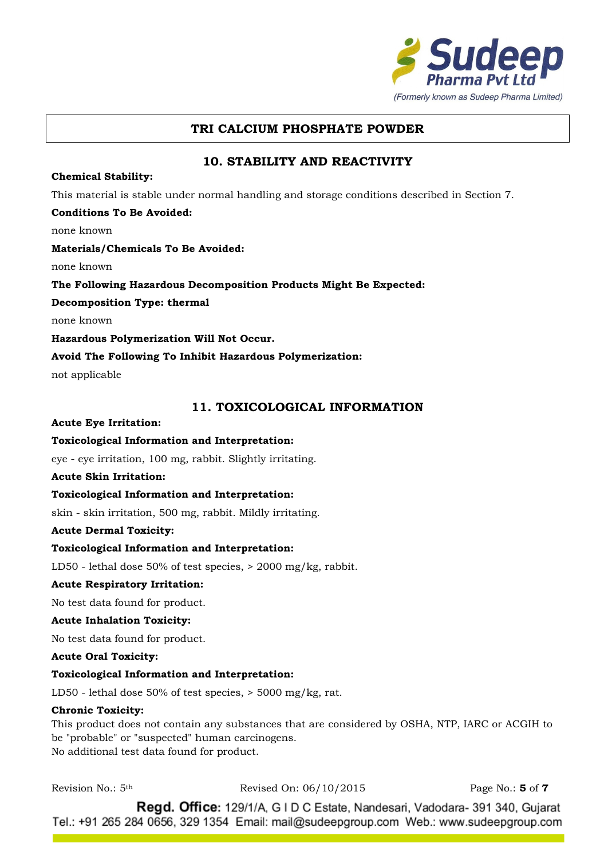

# **10. STABILITY AND REACTIVITY**

#### **Chemical Stability:**

This material is stable under normal handling and storage conditions described in Section 7.

#### **Conditions To Be Avoided:**

none known

#### **Materials/Chemicals To Be Avoided:**

none known

#### **The Following Hazardous Decomposition Products Might Be Expected:**

**Decomposition Type: thermal**

none known

**Hazardous Polymerization Will Not Occur.**

#### **Avoid The Following To Inhibit Hazardous Polymerization:**

not applicable

### **11. TOXICOLOGICAL INFORMATION**

#### **Acute Eye Irritation:**

#### **Toxicological Information and Interpretation:**

eye - eye irritation, 100 mg, rabbit. Slightly irritating.

#### **Acute Skin Irritation:**

#### **Toxicological Information and Interpretation:**

skin - skin irritation, 500 mg, rabbit. Mildly irritating.

#### **Acute Dermal Toxicity:**

#### **Toxicological Information and Interpretation:**

LD50 - lethal dose 50% of test species, > 2000 mg/kg, rabbit.

#### **Acute Respiratory Irritation:**

No test data found for product.

#### **Acute Inhalation Toxicity:**

No test data found for product.

#### **Acute Oral Toxicity:**

#### **Toxicological Information and Interpretation:**

LD50 - lethal dose 50% of test species, > 5000 mg/kg, rat.

#### **Chronic Toxicity:**

This product does not contain any substances that are considered by OSHA, NTP, IARC or ACGIH to be "probable" or "suspected" human carcinogens. No additional test data found for product.

Revision No.: 5th Revised On: 06/10/2015 Page No.: **5** of **7**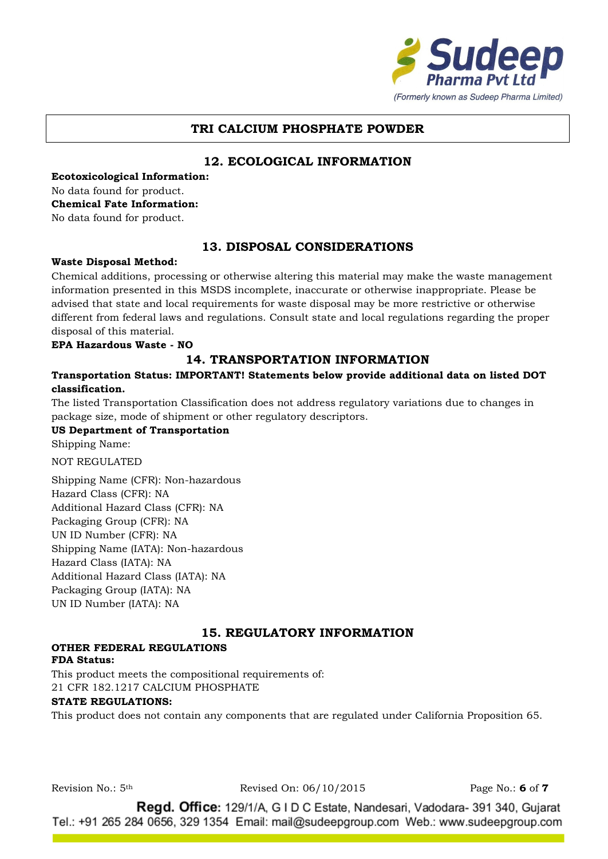

# **12. ECOLOGICAL INFORMATION**

**Ecotoxicological Information:** No data found for product. **Chemical Fate Information:** No data found for product.

**13. DISPOSAL CONSIDERATIONS**

#### **Waste Disposal Method:**

Chemical additions, processing or otherwise altering this material may make the waste management information presented in this MSDS incomplete, inaccurate or otherwise inappropriate. Please be advised that state and local requirements for waste disposal may be more restrictive or otherwise different from federal laws and regulations. Consult state and local regulations regarding the proper disposal of this material.

**EPA Hazardous Waste - NO**

## **14. TRANSPORTATION INFORMATION**

### **Transportation Status: IMPORTANT! Statements below provide additional data on listed DOT classification.**

The listed Transportation Classification does not address regulatory variations due to changes in package size, mode of shipment or other regulatory descriptors.

**US Department of Transportation**

Shipping Name:

NOT REGULATED

Shipping Name (CFR): Non-hazardous Hazard Class (CFR): NA Additional Hazard Class (CFR): NA Packaging Group (CFR): NA UN ID Number (CFR): NA Shipping Name (IATA): Non-hazardous Hazard Class (IATA): NA Additional Hazard Class (IATA): NA Packaging Group (IATA): NA UN ID Number (IATA): NA

# **15. REGULATORY INFORMATION**

# **OTHER FEDERAL REGULATIONS**

#### **FDA Status:**

This product meets the compositional requirements of: 21 CFR 182.1217 CALCIUM PHOSPHATE

#### **STATE REGULATIONS:**

This product does not contain any components that are regulated under California Proposition 65.

Revision No.: 5th Revised On: 06/10/2015 Page No.: **6** of **7**